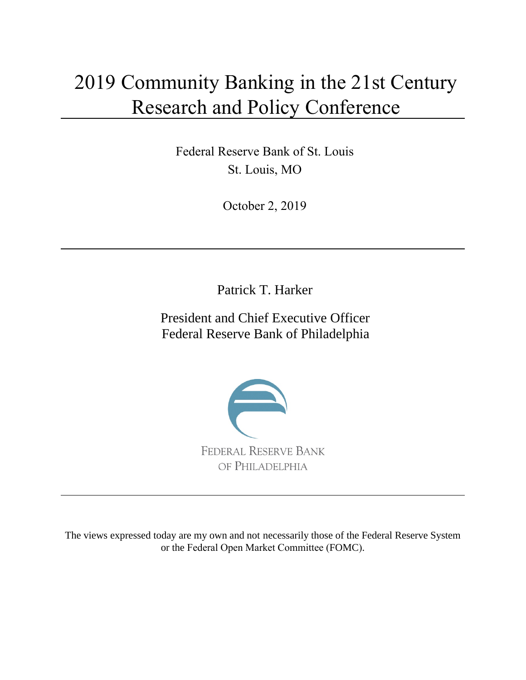# 2019 Community Banking in the 21st Century Research and Policy Conference

Federal Reserve Bank of St. Louis St. Louis, MO

October 2, 2019

Patrick T. Harker

President and Chief Executive Officer Federal Reserve Bank of Philadelphia



The views expressed today are my own and not necessarily those of the Federal Reserve System or the Federal Open Market Committee (FOMC).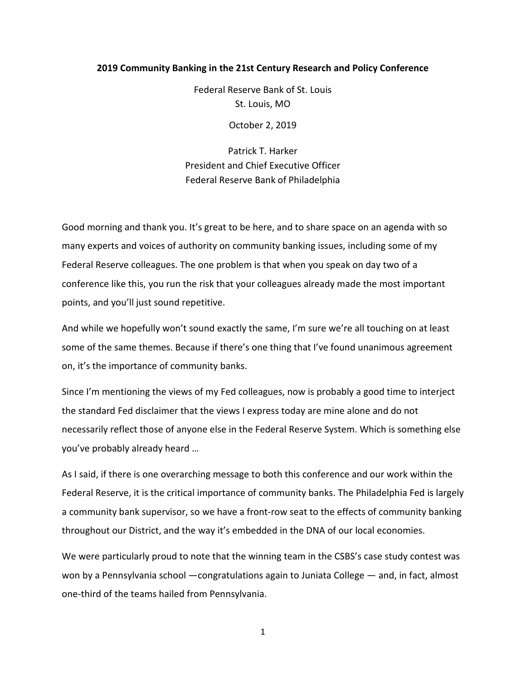## **2019 Community Banking in the 21st Century Research and Policy Conference**

Federal Reserve Bank of St. Louis St. Louis, MO

October 2, 2019

Patrick T. Harker President and Chief Executive Officer Federal Reserve Bank of Philadelphia

Good morning and thank you. It's great to be here, and to share space on an agenda with so many experts and voices of authority on community banking issues, including some of my Federal Reserve colleagues. The one problem is that when you speak on day two of a conference like this, you run the risk that your colleagues already made the most important points, and you'll just sound repetitive.

And while we hopefully won't sound exactly the same, I'm sure we're all touching on at least some of the same themes. Because if there's one thing that I've found unanimous agreement on, it's the importance of community banks.

Since I'm mentioning the views of my Fed colleagues, now is probably a good time to interject the standard Fed disclaimer that the views I express today are mine alone and do not necessarily reflect those of anyone else in the Federal Reserve System. Which is something else you've probably already heard …

As I said, if there is one overarching message to both this conference and our work within the Federal Reserve, it is the critical importance of community banks. The Philadelphia Fed is largely a community bank supervisor, so we have a front-row seat to the effects of community banking throughout our District, and the way it's embedded in the DNA of our local economies.

We were particularly proud to note that the winning team in the CSBS's case study contest was won by a Pennsylvania school —congratulations again to Juniata College — and, in fact, almost one-third of the teams hailed from Pennsylvania.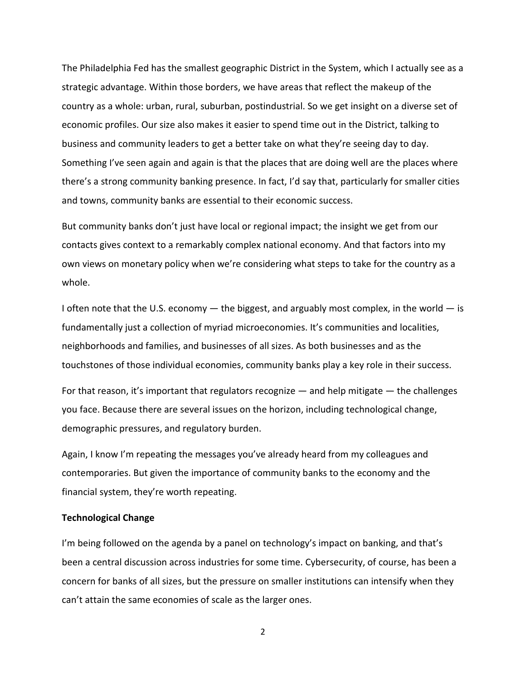The Philadelphia Fed has the smallest geographic District in the System, which I actually see as a strategic advantage. Within those borders, we have areas that reflect the makeup of the country as a whole: urban, rural, suburban, postindustrial. So we get insight on a diverse set of economic profiles. Our size also makes it easier to spend time out in the District, talking to business and community leaders to get a better take on what they're seeing day to day. Something I've seen again and again is that the places that are doing well are the places where there's a strong community banking presence. In fact, I'd say that, particularly for smaller cities and towns, community banks are essential to their economic success.

But community banks don't just have local or regional impact; the insight we get from our contacts gives context to a remarkably complex national economy. And that factors into my own views on monetary policy when we're considering what steps to take for the country as a whole.

I often note that the U.S. economy  $-$  the biggest, and arguably most complex, in the world  $-$  is fundamentally just a collection of myriad microeconomies. It's communities and localities, neighborhoods and families, and businesses of all sizes. As both businesses and as the touchstones of those individual economies, community banks play a key role in their success.

For that reason, it's important that regulators recognize  $-$  and help mitigate  $-$  the challenges you face. Because there are several issues on the horizon, including technological change, demographic pressures, and regulatory burden.

Again, I know I'm repeating the messages you've already heard from my colleagues and contemporaries. But given the importance of community banks to the economy and the financial system, they're worth repeating.

## **Technological Change**

I'm being followed on the agenda by a panel on technology's impact on banking, and that's been a central discussion across industries for some time. Cybersecurity, of course, has been a concern for banks of all sizes, but the pressure on smaller institutions can intensify when they can't attain the same economies of scale as the larger ones.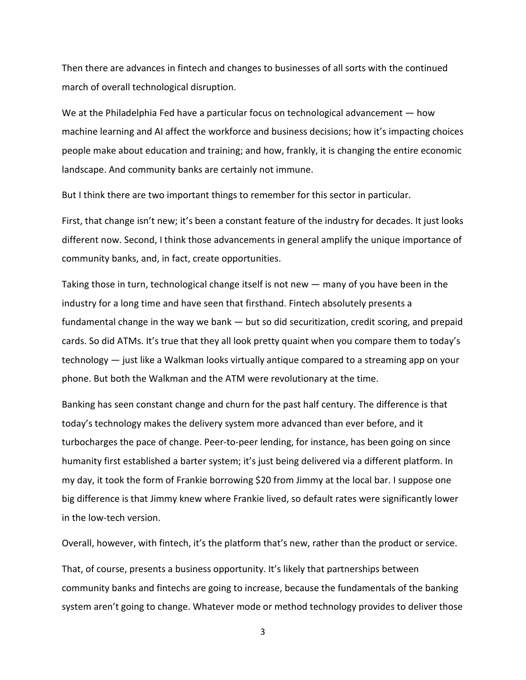Then there are advances in fintech and changes to businesses of all sorts with the continued march of overall technological disruption.

We at the Philadelphia Fed have a particular focus on technological advancement – how machine learning and AI affect the workforce and business decisions; how it's impacting choices people make about education and training; and how, frankly, it is changing the entire economic landscape. And community banks are certainly not immune.

But I think there are two important things to remember for this sector in particular.

First, that change isn't new; it's been a constant feature of the industry for decades. It just looks different now. Second, I think those advancements in general amplify the unique importance of community banks, and, in fact, create opportunities.

Taking those in turn, technological change itself is not new — many of you have been in the industry for a long time and have seen that firsthand. Fintech absolutely presents a fundamental change in the way we bank — but so did securitization, credit scoring, and prepaid cards. So did ATMs. It's true that they all look pretty quaint when you compare them to today's technology — just like a Walkman looks virtually antique compared to a streaming app on your phone. But both the Walkman and the ATM were revolutionary at the time.

Banking has seen constant change and churn for the past half century. The difference is that today's technology makes the delivery system more advanced than ever before, and it turbocharges the pace of change. Peer-to-peer lending, for instance, has been going on since humanity first established a barter system; it's just being delivered via a different platform. In my day, it took the form of Frankie borrowing \$20 from Jimmy at the local bar. I suppose one big difference is that Jimmy knew where Frankie lived, so default rates were significantly lower in the low-tech version.

Overall, however, with fintech, it's the platform that's new, rather than the product or service.

That, of course, presents a business opportunity. It's likely that partnerships between community banks and fintechs are going to increase, because the fundamentals of the banking system aren't going to change. Whatever mode or method technology provides to deliver those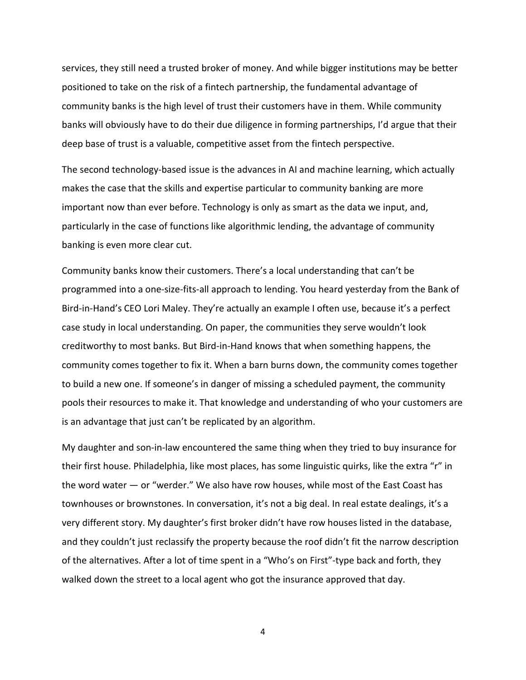services, they still need a trusted broker of money. And while bigger institutions may be better positioned to take on the risk of a fintech partnership, the fundamental advantage of community banks is the high level of trust their customers have in them. While community banks will obviously have to do their due diligence in forming partnerships, I'd argue that their deep base of trust is a valuable, competitive asset from the fintech perspective.

The second technology-based issue is the advances in AI and machine learning, which actually makes the case that the skills and expertise particular to community banking are more important now than ever before. Technology is only as smart as the data we input, and, particularly in the case of functions like algorithmic lending, the advantage of community banking is even more clear cut.

Community banks know their customers. There's a local understanding that can't be programmed into a one-size-fits-all approach to lending. You heard yesterday from the Bank of Bird-in-Hand's CEO Lori Maley. They're actually an example I often use, because it's a perfect case study in local understanding. On paper, the communities they serve wouldn't look creditworthy to most banks. But Bird-in-Hand knows that when something happens, the community comes together to fix it. When a barn burns down, the community comes together to build a new one. If someone's in danger of missing a scheduled payment, the community pools their resources to make it. That knowledge and understanding of who your customers are is an advantage that just can't be replicated by an algorithm.

My daughter and son-in-law encountered the same thing when they tried to buy insurance for their first house. Philadelphia, like most places, has some linguistic quirks, like the extra "r" in the word water — or "werder." We also have row houses, while most of the East Coast has townhouses or brownstones. In conversation, it's not a big deal. In real estate dealings, it's a very different story. My daughter's first broker didn't have row houses listed in the database, and they couldn't just reclassify the property because the roof didn't fit the narrow description of the alternatives. After a lot of time spent in a "Who's on First"-type back and forth, they walked down the street to a local agent who got the insurance approved that day.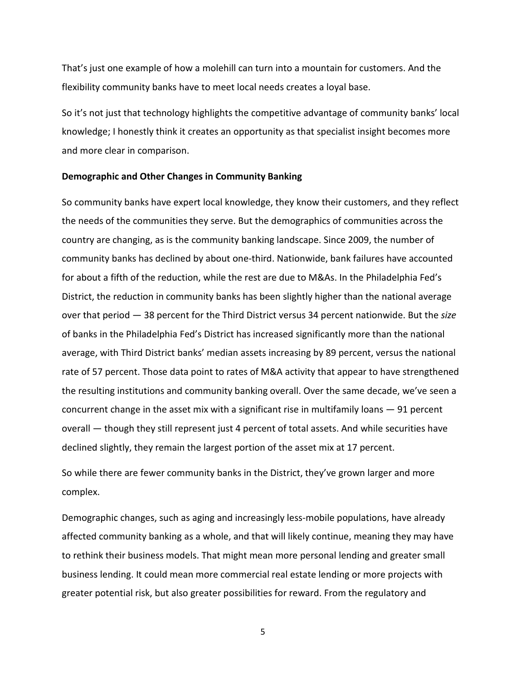That's just one example of how a molehill can turn into a mountain for customers. And the flexibility community banks have to meet local needs creates a loyal base.

So it's not just that technology highlights the competitive advantage of community banks' local knowledge; I honestly think it creates an opportunity as that specialist insight becomes more and more clear in comparison.

#### **Demographic and Other Changes in Community Banking**

So community banks have expert local knowledge, they know their customers, and they reflect the needs of the communities they serve. But the demographics of communities across the country are changing, as is the community banking landscape. Since 2009, the number of community banks has declined by about one-third. Nationwide, bank failures have accounted for about a fifth of the reduction, while the rest are due to M&As. In the Philadelphia Fed's District, the reduction in community banks has been slightly higher than the national average over that period — 38 percent for the Third District versus 34 percent nationwide. But the *size* of banks in the Philadelphia Fed's District has increased significantly more than the national average, with Third District banks' median assets increasing by 89 percent, versus the national rate of 57 percent. Those data point to rates of M&A activity that appear to have strengthened the resulting institutions and community banking overall. Over the same decade, we've seen a concurrent change in the asset mix with a significant rise in multifamily loans  $-91$  percent overall — though they still represent just 4 percent of total assets. And while securities have declined slightly, they remain the largest portion of the asset mix at 17 percent.

So while there are fewer community banks in the District, they've grown larger and more complex.

Demographic changes, such as aging and increasingly less-mobile populations, have already affected community banking as a whole, and that will likely continue, meaning they may have to rethink their business models. That might mean more personal lending and greater small business lending. It could mean more commercial real estate lending or more projects with greater potential risk, but also greater possibilities for reward. From the regulatory and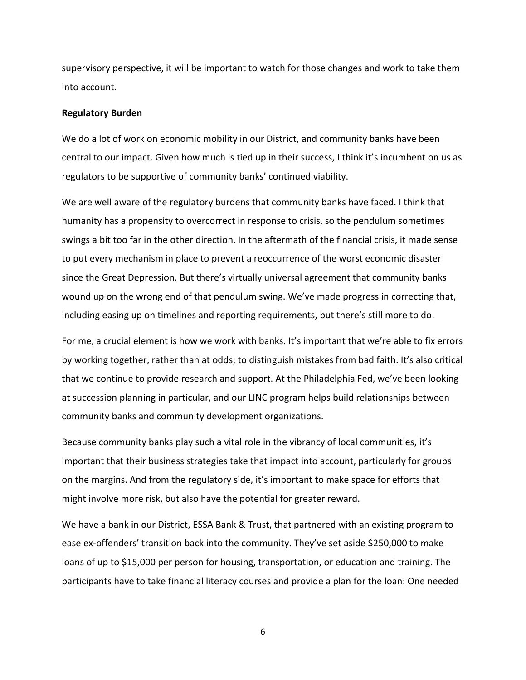supervisory perspective, it will be important to watch for those changes and work to take them into account.

### **Regulatory Burden**

We do a lot of work on economic mobility in our District, and community banks have been central to our impact. Given how much is tied up in their success, I think it's incumbent on us as regulators to be supportive of community banks' continued viability.

We are well aware of the regulatory burdens that community banks have faced. I think that humanity has a propensity to overcorrect in response to crisis, so the pendulum sometimes swings a bit too far in the other direction. In the aftermath of the financial crisis, it made sense to put every mechanism in place to prevent a reoccurrence of the worst economic disaster since the Great Depression. But there's virtually universal agreement that community banks wound up on the wrong end of that pendulum swing. We've made progress in correcting that, including easing up on timelines and reporting requirements, but there's still more to do.

For me, a crucial element is how we work with banks. It's important that we're able to fix errors by working together, rather than at odds; to distinguish mistakes from bad faith. It's also critical that we continue to provide research and support. At the Philadelphia Fed, we've been looking at succession planning in particular, and our LINC program helps build relationships between community banks and community development organizations.

Because community banks play such a vital role in the vibrancy of local communities, it's important that their business strategies take that impact into account, particularly for groups on the margins. And from the regulatory side, it's important to make space for efforts that might involve more risk, but also have the potential for greater reward.

We have a bank in our District, ESSA Bank & Trust, that partnered with an existing program to ease ex-offenders' transition back into the community. They've set aside \$250,000 to make loans of up to \$15,000 per person for housing, transportation, or education and training. The participants have to take financial literacy courses and provide a plan for the loan: One needed